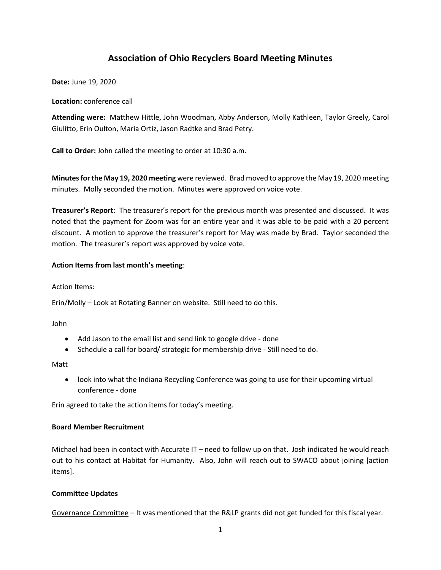# **Association of Ohio Recyclers Board Meeting Minutes**

**Date:** June 19, 2020

**Location:** conference call

**Attending were:** Matthew Hittle, John Woodman, Abby Anderson, Molly Kathleen, Taylor Greely, Carol Giulitto, Erin Oulton, Maria Ortiz, Jason Radtke and Brad Petry.

**Call to Order:** John called the meeting to order at 10:30 a.m.

**Minutes for the May 19, 2020 meeting** were reviewed. Brad moved to approve the May 19, 2020 meeting minutes. Molly seconded the motion. Minutes were approved on voice vote.

**Treasurer's Report**: The treasurer's report for the previous month was presented and discussed. It was noted that the payment for Zoom was for an entire year and it was able to be paid with a 20 percent discount. A motion to approve the treasurer's report for May was made by Brad. Taylor seconded the motion. The treasurer's report was approved by voice vote.

#### **Action Items from last month's meeting**:

Action Items:

Erin/Molly – Look at Rotating Banner on website. Still need to do this.

John

- Add Jason to the email list and send link to google drive done
- Schedule a call for board/ strategic for membership drive Still need to do.

Matt

• look into what the Indiana Recycling Conference was going to use for their upcoming virtual conference - done

Erin agreed to take the action items for today's meeting.

## **Board Member Recruitment**

Michael had been in contact with Accurate IT – need to follow up on that. Josh indicated he would reach out to his contact at Habitat for Humanity. Also, John will reach out to SWACO about joining [action items].

## **Committee Updates**

Governance Committee – It was mentioned that the R&LP grants did not get funded for this fiscal year.